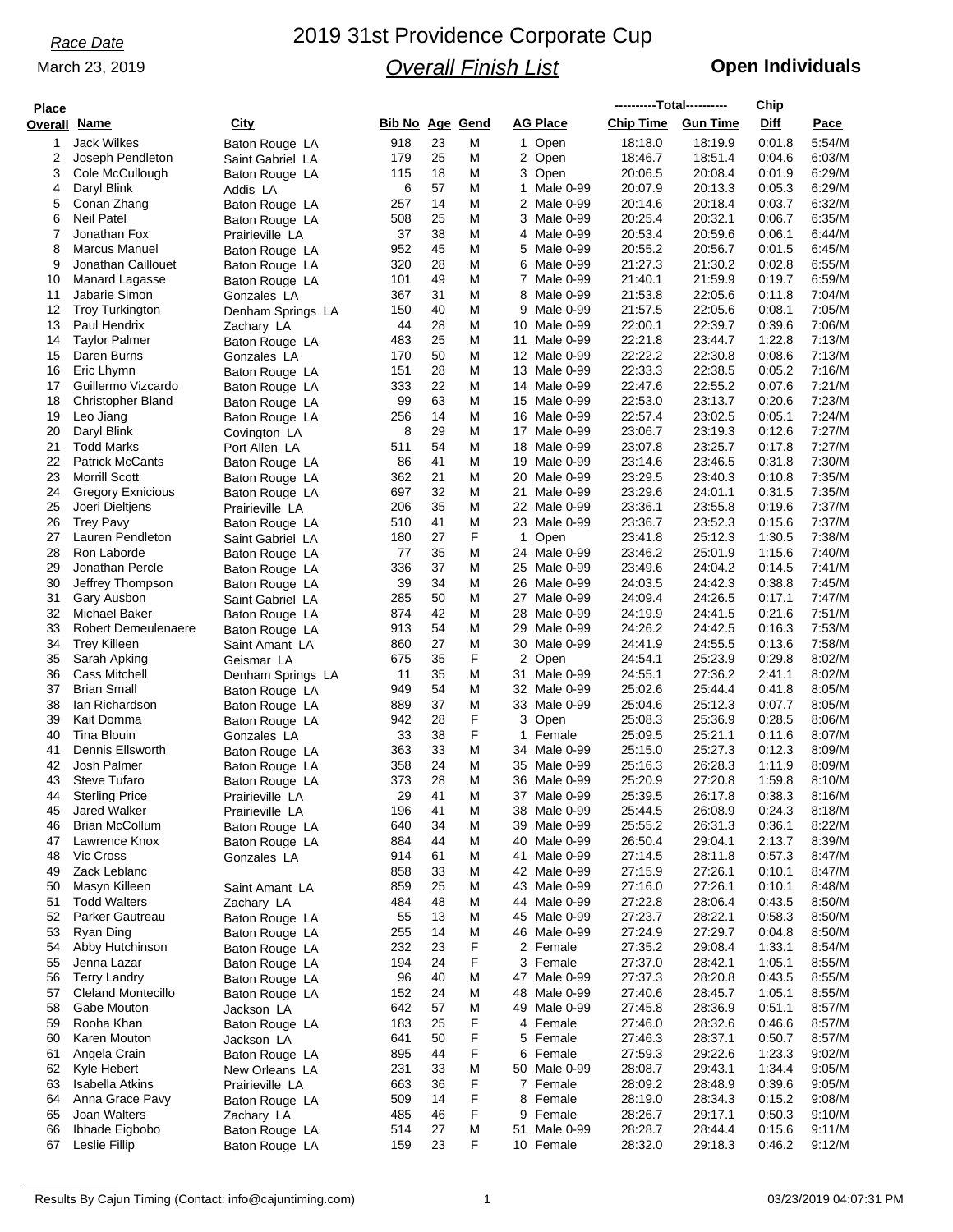### March 23, 2019

# 2019 31st Providence Corporate Cup *Overall Finish List*

## **Open Individuals**

| <b>Place</b>        |                                             |                              |                        |          |        |                              | ----------Total---------- |                    | Chip             |                  |
|---------------------|---------------------------------------------|------------------------------|------------------------|----------|--------|------------------------------|---------------------------|--------------------|------------------|------------------|
| <b>Overall Name</b> |                                             | City                         | <b>Bib No Age Gend</b> |          |        | AG Place                     | <b>Chip Time</b>          | <b>Gun Time</b>    | Diff             | Pace             |
| 1                   | <b>Jack Wilkes</b>                          | Baton Rouge LA               | 918                    | 23       | M      | 1 Open                       | 18:18.0                   | 18:19.9            | 0:01.8           | 5:54/M           |
| 2                   | Joseph Pendleton                            | Saint Gabriel LA             | 179                    | 25       | М      | 2 Open                       | 18:46.7                   | 18:51.4            | 0:04.6           | 6:03/M           |
| 3                   | Cole McCullough                             | Baton Rouge LA               | 115                    | 18       | M      | 3 Open                       | 20:06.5                   | 20:08.4            | 0:01.9           | 6:29/M           |
| 4                   | Daryl Blink                                 | Addis LA                     | 6                      | 57       | Μ      | 1<br>Male 0-99               | 20:07.9                   | 20:13.3            | 0:05.3           | 6:29/M           |
| 5                   | Conan Zhang                                 | Baton Rouge LA               | 257                    | 14       | M      | 2 Male 0-99                  | 20:14.6                   | 20:18.4            | 0:03.7           | 6:32/M           |
| 6                   | <b>Neil Patel</b>                           | Baton Rouge LA               | 508                    | 25       | M      | 3<br>Male 0-99               | 20:25.4                   | 20:32.1            | 0:06.7           | 6:35/M           |
| 7                   | Jonathan Fox                                | Prairieville LA              | 37                     | 38       | Μ      | 4 Male 0-99                  | 20:53.4                   | 20:59.6            | 0:06.1           | 6:44/M           |
| 8                   | Marcus Manuel                               | Baton Rouge LA               | 952                    | 45       | M      | 5 Male 0-99                  | 20:55.2                   | 20:56.7            | 0:01.5           | 6:45/M           |
| 9                   | Jonathan Caillouet                          | Baton Rouge LA               | 320                    | 28       | M      | 6 Male 0-99                  | 21:27.3                   | 21:30.2            | 0:02.8           | 6:55/M           |
| 10                  | Manard Lagasse                              | Baton Rouge LA               | 101                    | 49       | M      | 7 Male 0-99                  | 21:40.1                   | 21:59.9            | 0:19.7           | 6:59/M           |
| 11                  | Jabarie Simon                               | Gonzales LA                  | 367                    | 31       | M      | 8<br>Male 0-99               | 21:53.8                   | 22:05.6            | 0:11.8           | 7:04/M           |
| 12                  | <b>Troy Turkington</b>                      | Denham Springs LA            | 150                    | 40       | Μ      | 9<br>Male 0-99               | 21:57.5                   | 22:05.6            | 0:08.1           | 7:05/M           |
| 13                  | Paul Hendrix                                | Zachary LA                   | 44                     | 28       | M      | 10 Male 0-99                 | 22:00.1                   | 22:39.7            | 0.39.6           | 7:06/M           |
| 14                  | <b>Taylor Palmer</b>                        | Baton Rouge LA               | 483                    | 25       | M      | 11<br>Male 0-99              | 22:21.8                   | 23:44.7            | 1:22.8           | 7:13/M           |
| 15                  | Daren Burns                                 | Gonzales LA                  | 170                    | 50       | М      | 12 Male 0-99                 | 22:22.2                   | 22:30.8            | 0.08.6           | 7:13/M           |
| 16                  | Eric Lhymn                                  | Baton Rouge LA               | 151                    | 28       | M      | 13 Male 0-99                 | 22:33.3                   | 22:38.5            | 0:05.2           | 7:16/M           |
| 17                  | Guillermo Vizcardo                          | Baton Rouge LA               | 333                    | 22       | M      | 14 Male 0-99                 | 22:47.6                   | 22:55.2            | 0:07.6           | 7:21/M           |
| 18                  | <b>Christopher Bland</b>                    | Baton Rouge LA               | 99                     | 63       | Μ      | 15 Male 0-99                 | 22:53.0                   | 23:13.7            | 0:20.6           | 7:23/M           |
| 19                  | Leo Jiang                                   | Baton Rouge LA               | 256                    | 14       | M      | 16 Male 0-99                 | 22:57.4                   | 23:02.5            | 0:05.1           | 7:24/M           |
| 20                  | Daryl Blink                                 | Covington LA                 | 8                      | 29       | Μ      | 17 Male 0-99                 | 23:06.7                   | 23:19.3            | 0:12.6           | 7:27/M           |
| 21                  | Todd Marks                                  | Port Allen LA                | 511                    | 54       | M      | 18 Male 0-99                 | 23:07.8                   | 23:25.7            | 0:17.8           | 7:27/M           |
| 22                  | <b>Patrick McCants</b>                      | Baton Rouge LA               | 86                     | 41       | M      | 19 Male 0-99                 | 23:14.6                   | 23:46.5            | 0:31.8           | 7:30/M           |
| 23                  | <b>Morrill Scott</b>                        | Baton Rouge LA               | 362                    | 21       | М      | 20 Male 0-99                 | 23:29.5                   | 23:40.3            | 0:10.8           | 7:35/M           |
| 24                  | <b>Gregory Exnicious</b>                    | Baton Rouge LA               | 697                    | 32       | M      | Male 0-99<br>21              | 23:29.6                   | 24:01.1            | 0:31.5           | 7:35/M           |
| 25                  | Joeri Dieltjens                             | Prairieville LA              | 206                    | 35       | M      | 22 Male 0-99                 | 23:36.1                   | 23:55.8            | 0:19.6           | 7:37/M           |
| 26                  | <b>Trey Pavy</b>                            | Baton Rouge LA               | 510                    | 41       | M      | 23 Male 0-99                 | 23:36.7                   | 23.52.3            | 0:15.6           | 7:37/M           |
| 27                  | Lauren Pendleton                            | Saint Gabriel LA             | 180                    | 27       | F      | 1<br>Open                    | 23:41.8                   | 25:12.3            | 1:30.5           | 7:38/M           |
| 28                  | Ron Laborde                                 | Baton Rouge LA               | 77                     | 35       | Μ      | 24 Male 0-99                 | 23:46.2                   | 25:01.9            | 1:15.6           | 7:40/M           |
| 29                  | Jonathan Percle                             | Baton Rouge LA               | 336                    | 37       | M      | 25 Male 0-99                 | 23:49.6                   | 24:04.2            | 0:14.5           | 7:41/M           |
| 30                  | Jeffrey Thompson                            | Baton Rouge LA               | 39                     | 34       | M      | 26 Male 0-99                 | 24:03.5                   | 24:42.3            | 0:38.8           | 7:45/M           |
| 31                  | Gary Ausbon                                 | Saint Gabriel LA             | 285                    | 50       | Μ      | 27 Male 0-99                 | 24:09.4                   | 24:26.5            | 0:17.1           | 7:47/M           |
| 32<br>33            | Michael Baker<br><b>Robert Demeulenaere</b> | Baton Rouge LA               | 874                    | 42<br>54 | M<br>M | 28 Male 0-99<br>29 Male 0-99 | 24:19.9<br>24:26.2        | 24:41.5<br>24:42.5 | 0.21.6<br>0:16.3 | 7:51/M<br>7:53/M |
| 34                  | <b>Trey Killeen</b>                         | Baton Rouge LA               | 913<br>860             | 27       | Μ      | 30 Male 0-99                 | 24:41.9                   | 24:55.5            | 0:13.6           | 7:58/M           |
| 35                  | Sarah Apking                                | Saint Amant LA<br>Geismar LA | 675                    | 35       | F      | 2 Open                       | 24:54.1                   | 25:23.9            | 0.29.8           | 8:02/M           |
| 36                  | Cass Mitchell                               | Denham Springs LA            | 11                     | 35       | Μ      | 31<br>Male 0-99              | 24:55.1                   | 27:36.2            | 2:41.1           | 8:02/M           |
| 37                  | <b>Brian Small</b>                          | Baton Rouge LA               | 949                    | 54       | M      | 32 Male 0-99                 | 25:02.6                   | 25:44.4            | 0:41.8           | 8:05/M           |
| 38                  | lan Richardson                              | Baton Rouge LA               | 889                    | 37       | M      | 33 Male 0-99                 | 25:04.6                   | 25:12.3            | 0:07.7           | 8:05/M           |
| 39                  | Kait Domma                                  | Baton Rouge LA               | 942                    | 28       | F      | 3 Open                       | 25:08.3                   | 25:36.9            | 0:28.5           | 8:06/M           |
| 40                  | Tina Blouin                                 | Gonzales LA                  | 33                     | 38       | F      | 1<br>Female                  | 25:09.5                   | 25:21.1            | 0:11.6           | 8:07/M           |
| 41                  | Dennis Ellsworth                            | Baton Rouge LA               | 363                    | 33       | M      | 34 Male 0-99                 | 25:15.0                   | 25:27.3            | 0.12.3           | 8:09/M           |
| 42                  | Josh Palmer                                 | Baton Rouge LA               | 358                    | 24       | Μ      | 35 Male 0-99                 | 25:16.3                   | 26:28.3            | 1:11.9           | 8:09/M           |
| 43                  | <b>Steve Tufaro</b>                         | Baton Rouge LA               | 373                    | 28       | M      | 36 Male 0-99                 | 25:20.9                   | 27:20.8            | 1:59.8           | 8:10/M           |
| 44                  | <b>Sterling Price</b>                       | Prairieville LA              | 29                     | 41       | Μ      | 37 Male 0-99                 | 25:39.5                   | 26:17.8            | 0:38.3           | 8:16/M           |
| 45                  | <b>Jared Walker</b>                         | Prairieville LA              | 196                    | 41       | M      | 38 Male 0-99                 | 25:44.5                   | 26:08.9            | 0:24.3           | 8:18/M           |
| 46                  | <b>Brian McCollum</b>                       | Baton Rouge LA               | 640                    | 34       | M      | 39 Male 0-99                 | 25:55.2                   | 26:31.3            | 0:36.1           | 8:22/M           |
| 47                  | Lawrence Knox                               | Baton Rouge LA               | 884                    | 44       | M      | 40 Male 0-99                 | 26:50.4                   | 29:04.1            | 2:13.7           | 8:39/M           |
| 48                  | Vic Cross                                   | Gonzales LA                  | 914                    | 61       | M      | Male 0-99<br>41              | 27:14.5                   | 28:11.8            | 0.57.3           | 8:47/M           |
| 49                  | Zack Leblanc                                |                              | 858                    | 33       | M      | 42 Male 0-99                 | 27:15.9                   | 27:26.1            | 0:10.1           | 8:47/M           |
| 50                  | Masyn Killeen                               | Saint Amant LA               | 859                    | 25       | M      | 43 Male 0-99                 | 27:16.0                   | 27:26.1            | 0:10.1           | 8:48/M           |
| 51                  | <b>Todd Walters</b>                         | Zachary LA                   | 484                    | 48       | Μ      | 44 Male 0-99                 | 27:22.8                   | 28:06.4            | 0:43.5           | 8:50/M           |
| 52                  | Parker Gautreau                             | Baton Rouge LA               | 55                     | 13       | M      | 45 Male 0-99                 | 27:23.7                   | 28:22.1            | 0:58.3           | 8:50/M           |
| 53                  | Ryan Ding                                   | Baton Rouge LA               | 255                    | 14       | Μ      | 46 Male 0-99                 | 27:24.9                   | 27:29.7            | 0.04.8           | 8:50/M           |
| 54                  | Abby Hutchinson                             | Baton Rouge LA               | 232                    | 23       | F      | 2 Female                     | 27:35.2                   | 29:08.4            | 1:33.1           | 8:54/M           |
| 55                  | Jenna Lazar                                 | Baton Rouge LA               | 194                    | 24       | F      | 3 Female                     | 27:37.0                   | 28:42.1            | 1:05.1           | 8:55/M           |
| 56                  | <b>Terry Landry</b>                         | Baton Rouge LA               | 96                     | 40       | M      | 47 Male 0-99                 | 27:37.3                   | 28:20.8            | 0:43.5           | 8:55/M           |
| 57                  | <b>Cleland Montecillo</b>                   | Baton Rouge LA               | 152                    | 24       | M      | 48 Male 0-99                 | 27:40.6                   | 28:45.7            | 1:05.1           | 8:55/M           |
| 58                  | Gabe Mouton                                 | Jackson LA                   | 642                    | 57       | M      | 49 Male 0-99                 | 27:45.8                   | 28:36.9            | 0:51.1           | 8:57/M           |
| 59                  | Rooha Khan                                  | Baton Rouge LA               | 183                    | 25       | F      | 4 Female                     | 27:46.0                   | 28:32.6            | 0.46.6           | 8:57/M           |
| 60                  | Karen Mouton                                | Jackson LA                   | 641                    | 50       | F      | 5 Female                     | 27:46.3                   | 28:37.1            | 0:50.7           | 8:57/M           |
| 61                  | Angela Crain                                | Baton Rouge LA               | 895                    | 44       | F      | 6 Female                     | 27:59.3                   | 29:22.6            | 1:23.3           | 9:02/M           |
| 62                  | Kyle Hebert                                 | New Orleans LA               | 231                    | 33       | M      | 50 Male 0-99                 | 28:08.7                   | 29:43.1            | 1:34.4           | 9:05/M           |
| 63                  | Isabella Atkins                             | Prairieville LA              | 663                    | 36       | F      | 7 Female                     | 28:09.2                   | 28:48.9            | 0:39.6           | 9:05/M           |
| 64                  | Anna Grace Pavy                             | Baton Rouge LA               | 509                    | 14       | F      | 8 Female                     | 28:19.0                   | 28:34.3            | 0:15.2           | 9:08/M           |
| 65                  | Joan Walters                                | Zachary LA                   | 485                    | 46       | F      | Female<br>9                  | 28:26.7                   | 29:17.1            | 0:50.3           | 9:10/M           |
| 66                  | Ibhade Eigbobo                              | Baton Rouge LA               | 514                    | 27       | M      | 51 Male 0-99                 | 28:28.7                   | 28:44.4            | 0:15.6           | 9:11/M           |
| 67                  | Leslie Fillip                               | Baton Rouge LA               | 159                    | 23       | F      | 10 Female                    | 28:32.0                   | 29:18.3            | 0:46.2           | 9:12/M           |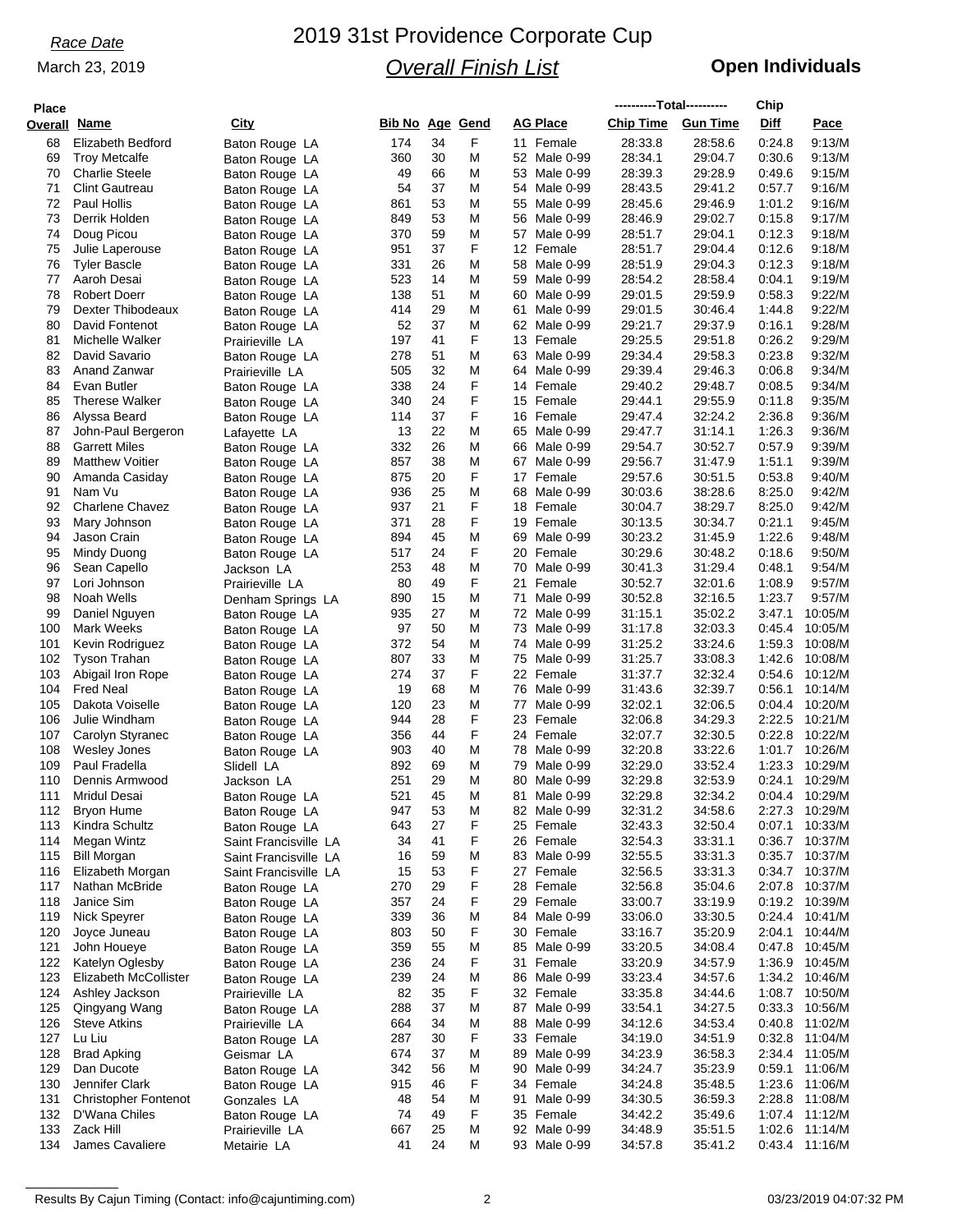### March 23, 2019

# 2019 31st Providence Corporate Cup *Overall Finish List*

## **Open Individuals**

| <b>Place</b>        |                             |                       |                        |    |   |    |                 | ----------Total---------- |                 | Chip   |                |
|---------------------|-----------------------------|-----------------------|------------------------|----|---|----|-----------------|---------------------------|-----------------|--------|----------------|
| <b>Overall Name</b> |                             | City                  | <b>Bib No Age Gend</b> |    |   |    | <b>AG Place</b> | <b>Chip Time</b>          | <b>Gun Time</b> | Diff   | Pace           |
| 68                  | Elizabeth Bedford           |                       | 174                    | 34 | F |    | 11 Female       | 28:33.8                   | 28:58.6         | 0:24.8 | 9:13/M         |
|                     |                             | Baton Rouge LA        |                        | 30 | M |    | 52 Male 0-99    | 28:34.1                   |                 | 0.30.6 |                |
| 69                  | <b>Troy Metcalfe</b>        | Baton Rouge LA        | 360                    | 66 |   |    |                 |                           | 29:04.7         |        | 9:13/M         |
| 70                  | <b>Charlie Steele</b>       | Baton Rouge LA        | 49                     |    | M |    | 53 Male 0-99    | 28:39.3                   | 29:28.9         | 0:49.6 | 9:15/M         |
| 71                  | <b>Clint Gautreau</b>       | Baton Rouge LA        | 54                     | 37 | M |    | 54 Male 0-99    | 28:43.5                   | 29:41.2         | 0:57.7 | 9:16/M         |
| 72                  | Paul Hollis                 | Baton Rouge LA        | 861                    | 53 | M |    | 55 Male 0-99    | 28:45.6                   | 29:46.9         | 1:01.2 | 9:16/M         |
| 73                  | Derrik Holden               | Baton Rouge LA        | 849                    | 53 | M |    | 56 Male 0-99    | 28:46.9                   | 29:02.7         | 0:15.8 | 9:17/M         |
| 74                  | Doug Picou                  | Baton Rouge LA        | 370                    | 59 | M |    | 57 Male 0-99    | 28:51.7                   | 29:04.1         | 0:12.3 | 9:18/M         |
| 75                  | Julie Laperouse             | Baton Rouge LA        | 951                    | 37 | F |    | 12 Female       | 28:51.7                   | 29:04.4         | 0:12.6 | 9:18/M         |
| 76                  | <b>Tyler Bascle</b>         | Baton Rouge LA        | 331                    | 26 | M |    | 58 Male 0-99    | 28:51.9                   | 29:04.3         | 0:12.3 | 9:18/M         |
| 77                  | Aaroh Desai                 | Baton Rouge LA        | 523                    | 14 | M |    | 59 Male 0-99    | 28:54.2                   | 28:58.4         | 0:04.1 | 9:19/M         |
| 78                  | <b>Robert Doerr</b>         | Baton Rouge LA        | 138                    | 51 | M |    | 60 Male 0-99    | 29:01.5                   | 29:59.9         | 0:58.3 | 9:22/M         |
| 79                  | Dexter Thibodeaux           | Baton Rouge LA        | 414                    | 29 | M |    | 61 Male 0-99    | 29:01.5                   | 30:46.4         | 1:44.8 | 9:22/M         |
| 80                  | David Fontenot              | Baton Rouge LA        | 52                     | 37 | M |    | 62 Male 0-99    | 29:21.7                   | 29:37.9         | 0:16.1 | 9.28/M         |
| 81                  | Michelle Walker             | Prairieville LA       | 197                    | 41 | F |    | 13 Female       | 29:25.5                   | 29:51.8         | 0.26.2 | 9:29/M         |
| 82                  | David Savario               | Baton Rouge LA        | 278                    | 51 | M |    | 63 Male 0-99    | 29:34.4                   | 29:58.3         | 0.23.8 | 9:32/M         |
| 83                  | Anand Zanwar                | Prairieville LA       | 505                    | 32 | M | 64 | Male 0-99       | 29:39.4                   | 29:46.3         | 0:06.8 | 9:34/M         |
| 84                  | Evan Butler                 | Baton Rouge LA        | 338                    | 24 | F |    | 14 Female       | 29:40.2                   | 29:48.7         | 0:08.5 | 9:34/M         |
| 85                  | <b>Therese Walker</b>       | Baton Rouge LA        | 340                    | 24 | F |    | 15 Female       | 29:44.1                   | 29:55.9         | 0:11.8 | 9:35/M         |
| 86                  | Alyssa Beard                | Baton Rouge LA        | 114                    | 37 | F |    | 16 Female       | 29:47.4                   | 32:24.2         | 2:36.8 | 9:36/M         |
| 87                  | John-Paul Bergeron          | Lafayette LA          | 13                     | 22 | M |    | 65 Male 0-99    | 29:47.7                   | 31:14.1         | 1:26.3 | 9:36/M         |
| 88                  | <b>Garrett Miles</b>        |                       | 332                    | 26 | M |    | 66 Male 0-99    | 29:54.7                   | 30:52.7         | 0:57.9 | 9:39/M         |
| 89                  | <b>Matthew Voitier</b>      | Baton Rouge LA        | 857                    | 38 | M |    | 67 Male 0-99    | 29:56.7                   | 31:47.9         | 1:51.1 | 9:39/M         |
|                     | Amanda Casiday              | Baton Rouge LA        |                        | 20 | F |    | 17 Female       | 29:57.6                   | 30:51.5         | 0:53.8 | 9:40/M         |
| 90                  |                             | Baton Rouge LA        | 875                    |    |   |    |                 |                           |                 |        |                |
| 91                  | Nam Vu                      | Baton Rouge LA        | 936                    | 25 | M |    | 68 Male 0-99    | 30:03.6                   | 38.28.6         | 8:25.0 | 9:42/M         |
| 92                  | <b>Charlene Chavez</b>      | Baton Rouge LA        | 937                    | 21 | F |    | 18 Female       | 30:04.7                   | 38:29.7         | 8:25.0 | 9:42/M         |
| 93                  | Mary Johnson                | Baton Rouge LA        | 371                    | 28 | F |    | 19 Female       | 30:13.5                   | 30:34.7         | 0:21.1 | 9:45/M         |
| 94                  | Jason Crain                 | Baton Rouge LA        | 894                    | 45 | M | 69 | Male 0-99       | 30:23.2                   | 31:45.9         | 1:22.6 | 9:48/M         |
| 95                  | Mindy Duong                 | Baton Rouge LA        | 517                    | 24 | F |    | 20 Female       | 30:29.6                   | 30:48.2         | 0:18.6 | 9:50/M         |
| 96                  | Sean Capello                | Jackson LA            | 253                    | 48 | M | 70 | Male 0-99       | 30:41.3                   | 31:29.4         | 0:48.1 | 9:54/M         |
| 97                  | Lori Johnson                | Prairieville LA       | 80                     | 49 | F | 21 | Female          | 30:52.7                   | 32:01.6         | 1:08.9 | 9:57/M         |
| 98                  | Noah Wells                  | Denham Springs LA     | 890                    | 15 | M |    | 71 Male 0-99    | 30:52.8                   | 32:16.5         | 1:23.7 | 9:57/M         |
| 99                  | Daniel Nguyen               | Baton Rouge LA        | 935                    | 27 | M |    | 72 Male 0-99    | 31:15.1                   | 35:02.2         | 3:47.1 | 10:05/M        |
| 100                 | Mark Weeks                  | Baton Rouge LA        | 97                     | 50 | M |    | 73 Male 0-99    | 31:17.8                   | 32:03.3         | 0:45.4 | 10:05/M        |
| 101                 | Kevin Rodriguez             | Baton Rouge LA        | 372                    | 54 | M |    | 74 Male 0-99    | 31:25.2                   | 33.24.6         | 1:59.3 | 10:08/M        |
| 102                 | <b>Tyson Trahan</b>         | Baton Rouge LA        | 807                    | 33 | M |    | 75 Male 0-99    | 31:25.7                   | 33:08.3         | 1:42.6 | 10:08/M        |
| 103                 | Abigail Iron Rope           | Baton Rouge LA        | 274                    | 37 | F |    | 22 Female       | 31:37.7                   | 32:32.4         | 0:54.6 | 10:12/M        |
| 104                 | <b>Fred Neal</b>            | Baton Rouge LA        | 19                     | 68 | M |    | 76 Male 0-99    | 31:43.6                   | 32:39.7         | 0.56.1 | 10:14/M        |
| 105                 | Dakota Voiselle             | Baton Rouge LA        | 120                    | 23 | M | 77 | Male 0-99       | 32:02.1                   | 32:06.5         | 0.04.4 | 10:20/M        |
| 106                 | Julie Windham               | Baton Rouge LA        | 944                    | 28 | F |    | 23 Female       | 32:06.8                   | 34:29.3         | 2:22.5 | 10:21/M        |
| 107                 | Carolyn Styranec            | Baton Rouge LA        | 356                    | 44 | F |    | 24 Female       | 32:07.7                   | 32:30.5         | 0.22.8 | 10:22/M        |
| 108                 | <b>Wesley Jones</b>         | Baton Rouge LA        | 903                    | 40 | M |    | 78 Male 0-99    | 32:20.8                   | 33:22.6         | 1:01.7 | 10:26/M        |
| 109                 | Paul Fradella               | Slidell LA            | 892                    | 69 | M |    | 79 Male 0-99    | 32:29.0                   | 33:52.4         | 1:23.3 | 10:29/M        |
| 110                 | Dennis Armwood              |                       | 251                    | 29 | M |    | 80 Male 0-99    | 32:29.8                   | 32:53.9         | 0.24.1 | 10:29/M        |
| 111                 | Mridul Desai                | Jackson LA            | 521                    | 45 | M |    | 81 Male 0-99    | 32:29.8                   | 32:34.2         |        | 0:04.4 10:29/M |
|                     |                             | Baton Rouge LA        | 947                    | 53 | M |    | 82 Male 0-99    | 32:31.2                   | 34.58.6         |        | 2:27.3 10:29/M |
| 112                 | <b>Bryon Hume</b>           | Baton Rouge LA        |                        |    |   |    |                 |                           |                 |        |                |
| 113                 | Kindra Schultz              | Baton Rouge LA        | 643                    | 27 | F |    | 25 Female       | 32:43.3                   | 32:50.4         | 0:07.1 | 10:33/M        |
| 114                 | Megan Wintz                 | Saint Francisville LA | 34                     | 41 | F |    | 26 Female       | 32:54.3                   | 33:31.1         |        | 0:36.7 10:37/M |
| 115                 | <b>Bill Morgan</b>          | Saint Francisville LA | 16                     | 59 | M |    | 83 Male 0-99    | 32:55.5                   | 33:31.3         | 0:35.7 | 10:37/M        |
| 116                 | Elizabeth Morgan            | Saint Francisville LA | 15                     | 53 | F |    | 27 Female       | 32:56.5                   | 33:31.3         | 0:34.7 | 10:37/M        |
| 117                 | Nathan McBride              | Baton Rouge LA        | 270                    | 29 | F |    | 28 Female       | 32:56.8                   | 35:04.6         | 2:07.8 | 10:37/M        |
| 118                 | Janice Sim                  | Baton Rouge LA        | 357                    | 24 | F |    | 29 Female       | 33:00.7                   | 33:19.9         | 0:19.2 | 10:39/M        |
| 119                 | Nick Speyrer                | Baton Rouge LA        | 339                    | 36 | M |    | 84 Male 0-99    | 33:06.0                   | 33:30.5         |        | 0:24.4 10:41/M |
| 120                 | Joyce Juneau                | Baton Rouge LA        | 803                    | 50 | F |    | 30 Female       | 33:16.7                   | 35:20.9         | 2:04.1 | 10:44/M        |
| 121                 | John Houeye                 | Baton Rouge LA        | 359                    | 55 | M |    | 85 Male 0-99    | 33:20.5                   | 34:08.4         | 0.47.8 | 10:45/M        |
| 122                 | Katelyn Oglesby             | Baton Rouge LA        | 236                    | 24 | F |    | 31 Female       | 33:20.9                   | 34:57.9         | 1:36.9 | 10:45/M        |
| 123                 | Elizabeth McCollister       | Baton Rouge LA        | 239                    | 24 | M |    | 86 Male 0-99    | 33:23.4                   | 34:57.6         | 1:34.2 | 10:46/M        |
| 124                 | Ashley Jackson              | Prairieville LA       | 82                     | 35 | F |    | 32 Female       | 33:35.8                   | 34:44.6         | 1:08.7 | 10:50/M        |
| 125                 | Qingyang Wang               | Baton Rouge LA        | 288                    | 37 | M |    | 87 Male 0-99    | 33:54.1                   | 34:27.5         | 0:33.3 | 10:56/M        |
| 126                 | <b>Steve Atkins</b>         | Prairieville LA       | 664                    | 34 | M |    | 88 Male 0-99    | 34:12.6                   | 34:53.4         | 0:40.8 | 11:02/M        |
| 127                 | Lu Liu                      | Baton Rouge LA        | 287                    | 30 | F |    | 33 Female       | 34:19.0                   | 34:51.9         | 0:32.8 | 11:04/M        |
| 128                 | <b>Brad Apking</b>          |                       | 674                    | 37 | M |    | 89 Male 0-99    | 34:23.9                   | 36:58.3         |        | 2:34.4 11:05/M |
| 129                 | Dan Ducote                  | Geismar LA            | 342                    | 56 | M | 90 | Male 0-99       | 34:24.7                   | 35:23.9         |        | 0:59.1 11:06/M |
| 130                 |                             | Baton Rouge LA        |                        |    |   |    |                 | 34:24.8                   |                 |        | 1:23.6 11:06/M |
|                     | Jennifer Clark              | Baton Rouge LA        | 915                    | 46 | F |    | 34 Female       |                           | 35:48.5         |        |                |
| 131                 | <b>Christopher Fontenot</b> | Gonzales LA           | 48                     | 54 | M | 91 | Male 0-99       | 34:30.5                   | 36:59.3         |        | 2:28.8 11:08/M |
| 132                 | D'Wana Chiles               | Baton Rouge LA        | 74                     | 49 | F |    | 35 Female       | 34:42.2                   | 35:49.6         |        | 1:07.4 11:12/M |
| 133                 | Zack Hill                   | Prairieville LA       | 667                    | 25 | M |    | 92 Male 0-99    | 34:48.9                   | 35:51.5         | 1:02.6 | 11:14/M        |
| 134                 | James Cavaliere             | Metairie LA           | 41                     | 24 | M |    | 93 Male 0-99    | 34:57.8                   | 35:41.2         |        | 0:43.4 11:16/M |

Results By Cajun Timing (Contact: info@cajuntiming.com) 2 2 contact: info@cajuntiming.com 2 03/23/2019 04:07:32 PM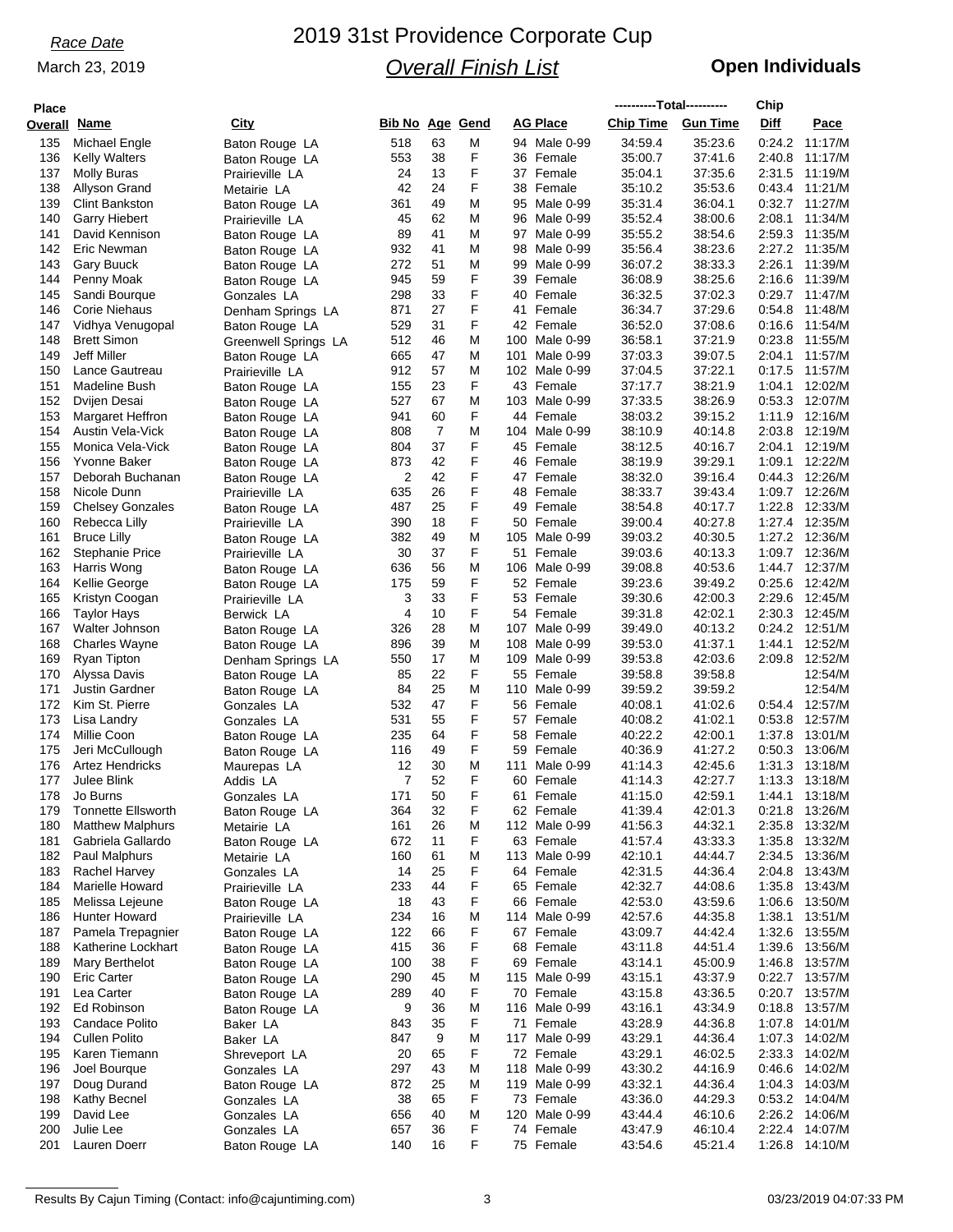### March 23, 2019

# 2019 31st Providence Corporate Cup *Overall Finish List*

## **Open Individuals**

| <b>Place</b>        |                           |                               |                 |    |        |     |                 | ----------Total---------- |                 | Chip             |                |
|---------------------|---------------------------|-------------------------------|-----------------|----|--------|-----|-----------------|---------------------------|-----------------|------------------|----------------|
| <b>Overall Name</b> |                           | City                          | Bib No Age Gend |    |        |     | <b>AG Place</b> | <b>Chip Time</b>          | <b>Gun Time</b> | Diff             | Pace           |
| 135                 | Michael Engle             |                               | 518             | 63 | M      |     | 94 Male 0-99    | 34:59.4                   | 35:23.6         | 0:24.2           | 11:17/M        |
| 136                 |                           | Baton Rouge LA                |                 | 38 | F      |     | 36 Female       |                           | 37:41.6         |                  | 11:17/M        |
|                     | <b>Kelly Walters</b>      | Baton Rouge LA                | 553<br>24       | 13 | F      |     | 37 Female       | 35:00.7                   | 37:35.6         | 2:40.8<br>2:31.5 |                |
| 137                 | <b>Molly Buras</b>        | Prairieville LA               |                 |    | F      |     |                 | 35:04.1                   |                 |                  | 11:19/M        |
| 138                 | Allyson Grand             | Metairie LA                   | 42              | 24 |        |     | 38 Female       | 35:10.2                   | 35:53.6         | 0:43.4           | 11:21/M        |
| 139                 | <b>Clint Bankston</b>     | Baton Rouge LA                | 361             | 49 | M      |     | 95 Male 0-99    | 35:31.4                   | 36:04.1         | 0:32.7           | 11:27/M        |
| 140                 | <b>Garry Hiebert</b>      | Prairieville LA               | 45              | 62 | M      |     | 96 Male 0-99    | 35:52.4                   | 38:00.6         | 2:08.1           | 11:34/M        |
| 141                 | David Kennison            | Baton Rouge LA                | 89              | 41 | M      |     | 97 Male 0-99    | 35:55.2                   | 38:54.6         | 2:59.3           | 11:35/M        |
| 142                 | Eric Newman               | Baton Rouge LA                | 932             | 41 | M      |     | 98 Male 0-99    | 35:56.4                   | 38.23.6         | 2:27.2           | 11:35/M        |
| 143                 | <b>Gary Buuck</b>         | Baton Rouge LA                | 272             | 51 | M      |     | 99 Male 0-99    | 36:07.2                   | 38:33.3         | 2:26.1           | 11:39/M        |
| 144                 | Penny Moak                | Baton Rouge LA                | 945             | 59 | F      |     | 39 Female       | 36:08.9                   | 38:25.6         | 2:16.6           | 11:39/M        |
| 145                 | Sandi Bourque             | Gonzales LA                   | 298             | 33 | F      |     | 40 Female       | 36:32.5                   | 37:02.3         | 0:29.7           | 11:47/M        |
| 146                 | <b>Corie Niehaus</b>      | Denham Springs LA             | 871             | 27 | F      |     | 41 Female       | 36:34.7                   | 37:29.6         | 0:54.8           | 11:48/M        |
| 147                 | Vidhya Venugopal          | Baton Rouge LA                | 529             | 31 | F      |     | 42 Female       | 36:52.0                   | 37:08.6         | 0.16.6           | 11:54/M        |
| 148                 | <b>Brett Simon</b>        | Greenwell Springs LA          | 512             | 46 | M      | 100 | Male 0-99       | 36:58.1                   | 37:21.9         | 0.23.8           | 11:55/M        |
| 149                 | <b>Jeff Miller</b>        | Baton Rouge LA                | 665             | 47 | M      | 101 | Male 0-99       | 37:03.3                   | 39:07.5         | 2:04.1           | 11:57/M        |
| 150                 | Lance Gautreau            | Prairieville LA               | 912             | 57 | M      |     | 102 Male 0-99   | 37:04.5                   | 37:22.1         | 0.17.5           | 11:57/M        |
| 151                 | Madeline Bush             | Baton Rouge LA                | 155             | 23 | F      |     | 43 Female       | 37:17.7                   | 38:21.9         | 1:04.1           | 12:02/M        |
| 152                 | Dvijen Desai              | Baton Rouge LA                | 527             | 67 | M      |     | 103 Male 0-99   | 37:33.5                   | 38:26.9         | 0:53.3           | 12:07/M        |
| 153                 | <b>Margaret Heffron</b>   | Baton Rouge LA                | 941             | 60 | F      |     | 44 Female       | 38:03.2                   | 39:15.2         | 1:11.9           | 12:16/M        |
| 154                 | Austin Vela-Vick          | Baton Rouge LA                | 808             | 7  | M      |     | 104 Male 0-99   | 38:10.9                   | 40:14.8         | 2:03.8           | 12:19/M        |
| 155                 | Monica Vela-Vick          | Baton Rouge LA                | 804             | 37 | F      |     | 45 Female       | 38:12.5                   | 40:16.7         | 2:04.1           | 12:19/M        |
| 156                 | Yvonne Baker              | Baton Rouge LA                | 873             | 42 | F      |     | 46 Female       | 38:19.9                   | 39:29.1         | 1:09.1           | 12:22/M        |
| 157                 | Deborah Buchanan          | Baton Rouge LA                | 2               | 42 | F      |     | 47 Female       | 38:32.0                   | 39:16.4         | 0:44.3           | 12:26/M        |
| 158                 | Nicole Dunn               | Prairieville LA               | 635             | 26 | F      |     | 48 Female       | 38:33.7                   | 39:43.4         | 1:09.7           | 12:26/M        |
| 159                 | <b>Chelsey Gonzales</b>   | Baton Rouge LA                | 487             | 25 | F      |     | 49 Female       | 38:54.8                   | 40:17.7         | 1:22.8           | 12:33/M        |
| 160                 | Rebecca Lilly             | Prairieville LA               | 390             | 18 | F      |     | 50 Female       | 39:00.4                   | 40:27.8         |                  | 1:27.4 12:35/M |
| 161                 | <b>Bruce Lilly</b>        | Baton Rouge LA                | 382             | 49 | M      |     | 105 Male 0-99   | 39:03.2                   | 40:30.5         | 1:27.2           | 12:36/M        |
| 162                 | <b>Stephanie Price</b>    | Prairieville LA               | 30              | 37 | F      |     | 51 Female       | 39:03.6                   | 40:13.3         |                  | 1:09.7 12:36/M |
| 163                 | Harris Wong               | Baton Rouge LA                | 636             | 56 | M      |     | 106 Male 0-99   | 39:08.8                   | 40:53.6         |                  | 1:44.7 12:37/M |
| 164                 | Kellie George             | Baton Rouge LA                | 175             | 59 | F      |     | 52 Female       | 39:23.6                   | 39:49.2         | 0.25.6           | 12:42/M        |
| 165                 | Kristyn Coogan            | Prairieville LA               | 3               | 33 | F      |     | 53 Female       | 39:30.6                   | 42:00.3         | 2:29.6           | 12:45/M        |
| 166                 | <b>Taylor Hays</b>        | Berwick LA                    | 4               | 10 | F      |     | 54 Female       | 39:31.8                   | 42:02.1         | 2:30.3           | 12:45/M        |
| 167                 | Walter Johnson            | Baton Rouge LA                | 326             | 28 | M      |     | 107 Male 0-99   | 39:49.0                   | 40:13.2         |                  | 0:24.2 12:51/M |
| 168                 | <b>Charles Wayne</b>      | Baton Rouge LA                | 896             | 39 | M      |     | 108 Male 0-99   | 39:53.0                   | 41:37.1         | 1:44.1           | 12:52/M        |
| 169                 | Ryan Tipton               | Denham Springs LA             | 550             | 17 | M      | 109 | Male 0-99       | 39:53.8                   | 42:03.6         | 2:09.8           | 12:52/M        |
| 170                 | Alyssa Davis              |                               | 85              | 22 | F      |     | 55 Female       | 39:58.8                   | 39.58.8         |                  | 12:54/M        |
| 171                 | <b>Justin Gardner</b>     | Baton Rouge LA                | 84              | 25 | M      |     | 110 Male 0-99   | 39:59.2                   | 39:59.2         |                  | 12:54/M        |
| 172                 | Kim St. Pierre            | Baton Rouge LA<br>Gonzales LA | 532             | 47 | F      |     | 56 Female       | 40:08.1                   | 41:02.6         | 0.54.4           | 12:57/M        |
| 173                 | Lisa Landry               |                               | 531             | 55 | F      |     | 57 Female       | 40:08.2                   | 41:02.1         | 0.53.8           | 12:57/M        |
| 174                 | Millie Coon               | Gonzales LA                   |                 | 64 | F      |     | 58 Female       | 40:22.2                   |                 | 1:37.8           | 13:01/M        |
|                     |                           | Baton Rouge LA                | 235             | 49 | F      |     |                 |                           | 42:00.1         |                  |                |
| 175                 | Jeri McCullough           | Baton Rouge LA                | 116             |    |        |     | 59 Female       | 40:36.9                   | 41:27.2         | 0:50.3           | 13:06/M        |
| 176                 | <b>Artez Hendricks</b>    | Maurepas LA                   | 12              | 30 | M<br>F | 111 | Male 0-99       | 41:14.3                   | 42:45.6         | 1:31.3           | 13:18/M        |
| 177                 | Julee Blink               | Addis LA                      | 7               | 52 |        |     | 60 Female       | 41:14.3                   | 42:27.7         | 1:13.3           | 13:18/M        |
| 178                 | Jo Burns                  | Gonzales LA                   | 171             | 50 | F      |     | 61 Female       | 41:15.0                   | 42:59.1         |                  | 1:44.1 13:18/M |
| 179                 | <b>Tonnette Ellsworth</b> | Baton Rouge LA                | 364             | 32 | F      |     | 62 Female       | 41:39.4                   | 42:01.3         |                  | 0:21.8 13:26/M |
| 180                 | <b>Matthew Malphurs</b>   | Metairie LA                   | 161             | 26 | M      |     | 112 Male 0-99   | 41:56.3                   | 44:32.1         | 2:35.8           | 13:32/M        |
| 181                 | Gabriela Gallardo         | Baton Rouge LA                | 672             | 11 | F      |     | 63 Female       | 41:57.4                   | 43:33.3         | 1:35.8           | 13:32/M        |
| 182                 | Paul Malphurs             | Metairie LA                   | 160             | 61 | M      |     | 113 Male 0-99   | 42:10.1                   | 44:44.7         | 2:34.5           | 13:36/M        |
| 183                 | Rachel Harvey             | Gonzales LA                   | 14              | 25 | F      |     | 64 Female       | 42:31.5                   | 44:36.4         | 2:04.8           | 13:43/M        |
| 184                 | Marielle Howard           | Prairieville LA               | 233             | 44 | F      |     | 65 Female       | 42:32.7                   | 44:08.6         | 1:35.8           | 13:43/M        |
| 185                 | Melissa Lejeune           | Baton Rouge LA                | 18              | 43 | F      |     | 66 Female       | 42:53.0                   | 43.59.6         | 1:06.6           | 13:50/M        |
| 186                 | Hunter Howard             | Prairieville LA               | 234             | 16 | M      |     | 114 Male 0-99   | 42:57.6                   | 44:35.8         |                  | 1:38.1 13:51/M |
| 187                 | Pamela Trepagnier         | Baton Rouge LA                | 122             | 66 | F      |     | 67 Female       | 43:09.7                   | 44:42.4         |                  | 1:32.6 13:55/M |
| 188                 | Katherine Lockhart        | Baton Rouge LA                | 415             | 36 | F      |     | 68 Female       | 43:11.8                   | 44:51.4         | 1:39.6           | 13:56/M        |
| 189                 | Mary Berthelot            | Baton Rouge LA                | 100             | 38 | F      |     | 69 Female       | 43:14.1                   | 45:00.9         |                  | 1:46.8 13:57/M |
| 190                 | <b>Eric Carter</b>        | Baton Rouge LA                | 290             | 45 | M      |     | 115 Male 0-99   | 43:15.1                   | 43:37.9         | 0:22.7           | 13:57/M        |
| 191                 | Lea Carter                | Baton Rouge LA                | 289             | 40 | F      |     | 70 Female       | 43:15.8                   | 43:36.5         | 0:20.7           | 13:57/M        |
| 192                 | Ed Robinson               | Baton Rouge LA                | 9               | 36 | M      |     | 116 Male 0-99   | 43:16.1                   | 43:34.9         | 0:18.8           | 13:57/M        |
| 193                 | Candace Polito            | Baker LA                      | 843             | 35 | F      |     | 71 Female       | 43:28.9                   | 44:36.8         | 1:07.8           | 14:01/M        |
| 194                 | Cullen Polito             | Baker LA                      | 847             | 9  | M      |     | 117 Male 0-99   | 43:29.1                   | 44:36.4         |                  | 1:07.3 14:02/M |
| 195                 | Karen Tiemann             | Shreveport LA                 | 20              | 65 | F      |     | 72 Female       | 43:29.1                   | 46:02.5         | 2:33.3           | 14:02/M        |
| 196                 | Joel Bourque              | Gonzales LA                   | 297             | 43 | M      |     | 118 Male 0-99   | 43:30.2                   | 44:16.9         | 0.46.6           | 14:02/M        |
| 197                 | Doug Durand               | Baton Rouge LA                | 872             | 25 | M      |     | 119 Male 0-99   | 43:32.1                   | 44:36.4         |                  | 1:04.3 14:03/M |
| 198                 | Kathy Becnel              | Gonzales LA                   | 38              | 65 | F      |     | 73 Female       | 43:36.0                   | 44:29.3         |                  | 0:53.2 14:04/M |
| 199                 | David Lee                 | Gonzales LA                   | 656             | 40 | M      |     | 120 Male 0-99   | 43:44.4                   | 46:10.6         | 2:26.2           | 14:06/M        |
| 200                 | Julie Lee                 | Gonzales LA                   | 657             | 36 | F      |     | 74 Female       | 43:47.9                   | 46:10.4         | 2:22.4           | 14:07/M        |
| 201                 | Lauren Doerr              | Baton Rouge LA                | 140             | 16 | F      |     | 75 Female       | 43:54.6                   | 45:21.4         | 1:26.8           | 14:10/M        |
|                     |                           |                               |                 |    |        |     |                 |                           |                 |                  |                |

Results By Cajun Timing (Contact: info@cajuntiming.com) 3 3 03/23/2019 04:07:33 PM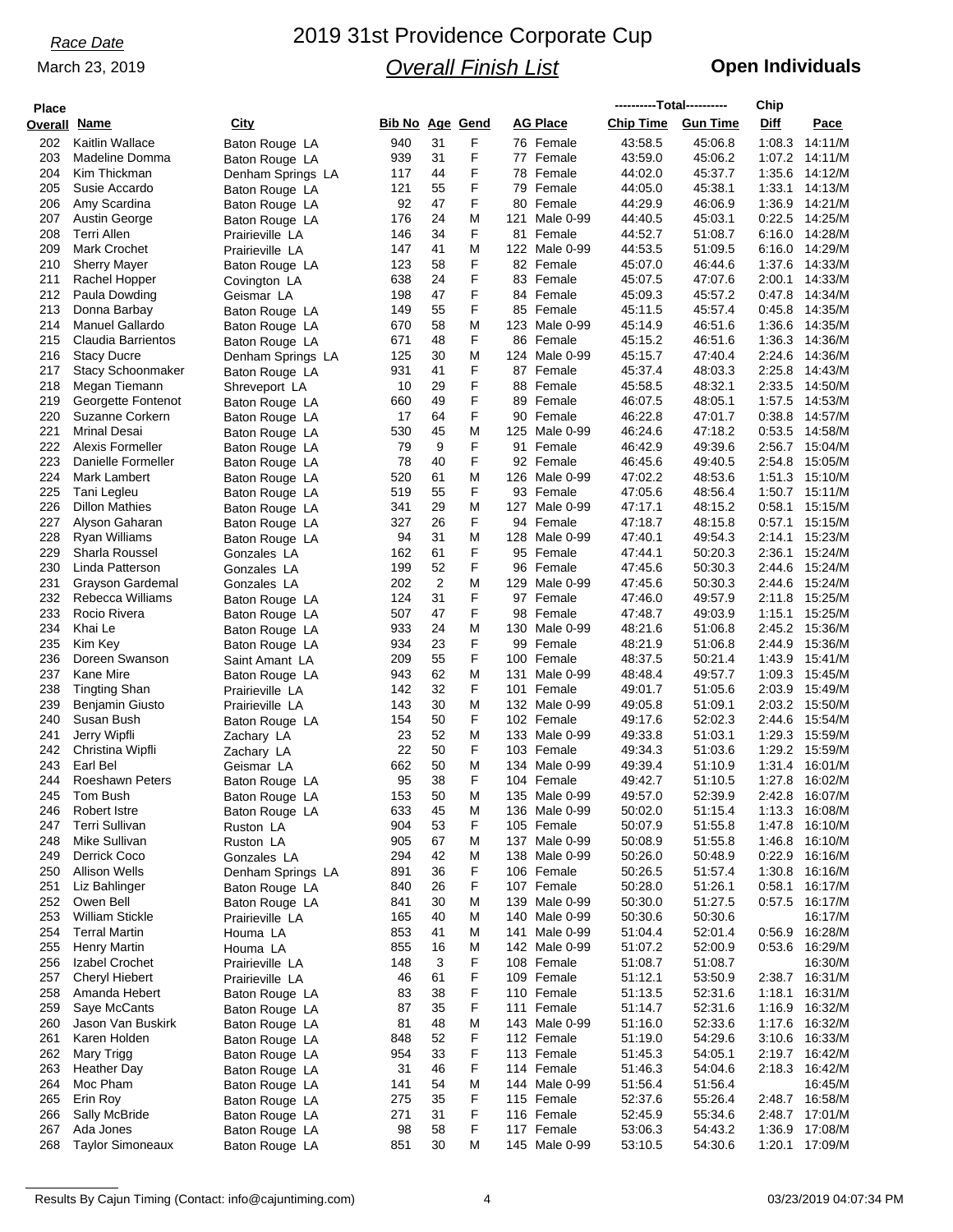### March 23, 2019

# 2019 31st Providence Corporate Cup *Overall Finish List*

## **Open Individuals**

| <b>Place</b>        |                                        |                                  |                        |          |        |                            | ----------Total---------- |                    | Chip             |                    |
|---------------------|----------------------------------------|----------------------------------|------------------------|----------|--------|----------------------------|---------------------------|--------------------|------------------|--------------------|
| <b>Overall Name</b> |                                        | <u>City</u>                      | <b>Bib No Age Gend</b> |          |        | <b>AG Place</b>            | <b>Chip Time</b>          | <b>Gun Time</b>    | <b>Diff</b>      | Pace               |
| 202                 | Kaitlin Wallace                        | Baton Rouge LA                   | 940                    | 31       | F      | 76 Female                  | 43.58.5                   | 45:06.8            | 1:08.3           | 14:11/M            |
| 203                 | Madeline Domma                         | Baton Rouge LA                   | 939                    | 31       | F      | 77 Female                  | 43:59.0                   | 45:06.2            | 1:07.2           | 14:11/M            |
| 204                 | Kim Thickman                           | Denham Springs LA                | 117                    | 44       | F      | 78 Female                  | 44:02.0                   | 45:37.7            | 1:35.6           | 14:12/M            |
| 205                 | Susie Accardo                          | Baton Rouge LA                   | 121                    | 55       | F      | 79 Female                  | 44:05.0                   | 45:38.1            | 1:33.1           | 14:13/M            |
| 206                 | Amy Scardina                           | Baton Rouge LA                   | 92                     | 47       | F      | 80 Female                  | 44.29.9                   | 46:06.9            | 1:36.9           | 14:21/M            |
| 207                 | Austin George                          | Baton Rouge LA                   | 176                    | 24       | M      | 121<br>Male 0-99           | 44:40.5                   | 45:03.1            | 0:22.5           | 14:25/M            |
| 208                 | Terri Allen                            | Prairieville LA                  | 146                    | 34       | F      | 81 Female                  | 44:52.7                   | 51:08.7            | 6:16.0           | 14:28/M            |
| 209                 | Mark Crochet                           | Prairieville LA                  | 147                    | 41       | M      | 122 Male 0-99              | 44:53.5                   | 51:09.5            | 6:16.0           | 14:29/M            |
| 210                 | <b>Sherry Mayer</b>                    | Baton Rouge LA                   | 123                    | 58       | F      | 82 Female                  | 45:07.0                   | 46:44.6            | 1:37.6           | 14:33/M            |
| 211                 | Rachel Hopper                          | Covington LA                     | 638                    | 24       | F      | 83 Female                  | 45:07.5                   | 47:07.6            | 2:00.1           | 14:33/M            |
| 212                 | Paula Dowding                          | Geismar LA                       | 198                    | 47       | F      | 84 Female                  | 45:09.3                   | 45:57.2            | 0.47.8           | 14:34/M            |
| 213                 | Donna Barbay                           | Baton Rouge LA                   | 149                    | 55       | F      | 85 Female                  | 45:11.5                   | 45:57.4            | 0:45.8           | 14:35/M            |
| 214                 | <b>Manuel Gallardo</b>                 | Baton Rouge LA                   | 670                    | 58       | M      | 123 Male 0-99              | 45:14.9                   | 46:51.6            | 1:36.6           | 14:35/M            |
| 215                 | Claudia Barrientos                     | Baton Rouge LA                   | 671                    | 48       | F      | 86 Female                  | 45:15.2                   | 46:51.6            | 1:36.3           | 14:36/M            |
| 216                 | <b>Stacy Ducre</b>                     | Denham Springs LA                | 125                    | 30       | M      | 124 Male 0-99              | 45:15.7                   | 47:40.4            | 2:24.6           | 14:36/M            |
| 217                 | <b>Stacy Schoonmaker</b>               | Baton Rouge LA                   | 931                    | 41       | F      | 87 Female                  | 45:37.4                   | 48:03.3            | 2:25.8           | 14:43/M            |
| 218                 | Megan Tiemann                          | Shreveport LA                    | 10                     | 29       | F      | 88 Female                  | 45:58.5                   | 48:32.1            | 2:33.5           | 14:50/M            |
| 219                 | Georgette Fontenot                     | Baton Rouge LA                   | 660                    | 49       | F      | 89 Female                  | 46:07.5                   | 48:05.1            | 1:57.5           | 14:53/M            |
| 220                 | Suzanne Corkern                        | Baton Rouge LA                   | 17                     | 64       | F      | 90 Female                  | 46:22.8                   | 47:01.7            | 0.38.8           | 14:57/M            |
| 221                 | <b>Mrinal Desai</b>                    | Baton Rouge LA                   | 530                    | 45       | M      | 125 Male 0-99              | 46:24.6                   | 47:18.2            | 0:53.5           | 14:58/M            |
| 222                 | Alexis Formeller                       | Baton Rouge LA                   | 79                     | 9        | F      | 91 Female                  | 46:42.9                   | 49:39.6            | 2:56.7           | 15:04/M            |
| 223                 | Danielle Formeller                     | Baton Rouge LA                   | 78                     | 40       | F      | 92 Female                  | 46:45.6                   | 49:40.5            | 2:54.8           | 15:05/M            |
| 224                 | Mark Lambert                           | Baton Rouge LA                   | 520                    | 61       | M<br>F | 126 Male 0-99<br>93 Female | 47:02.2                   | 48.53.6            | 1:51.3           | 15:10/M            |
| 225<br>226          | Tani Legleu<br><b>Dillon Mathies</b>   | Baton Rouge LA                   | 519                    | 55<br>29 | M      |                            | 47:05.6                   | 48:56.4            | 1:50.7           | 15:11/M<br>15:15/M |
| 227                 |                                        | Baton Rouge LA                   | 341                    | 26       | F      | 127 Male 0-99<br>94 Female | 47:17.1                   | 48:15.2<br>48:15.8 | 0:58.1<br>0.57.1 | 15:15/M            |
| 228                 | Alyson Gaharan<br>Ryan Williams        | Baton Rouge LA                   | 327<br>94              | 31       | M      | 128 Male 0-99              | 47:18.7<br>47:40.1        | 49:54.3            | 2:14.1           | 15:23/M            |
| 229                 | Sharla Roussel                         | Baton Rouge LA<br>Gonzales LA    | 162                    | 61       | F      | 95 Female                  | 47:44.1                   | 50:20.3            | 2:36.1           | 15:24/M            |
| 230                 | Linda Patterson                        | Gonzales LA                      | 199                    | 52       | F      | 96 Female                  | 47:45.6                   | 50:30.3            | 2:44.6           | 15:24/M            |
| 231                 | Grayson Gardemal                       | Gonzales LA                      | 202                    | 2        | M      | 129 Male 0-99              | 47:45.6                   | 50:30.3            | 2:44.6           | 15:24/M            |
| 232                 | Rebecca Williams                       | Baton Rouge LA                   | 124                    | 31       | F      | 97 Female                  | 47:46.0                   | 49:57.9            | 2:11.8           | 15:25/M            |
| 233                 | Rocio Rivera                           | Baton Rouge LA                   | 507                    | 47       | F      | 98 Female                  | 47:48.7                   | 49:03.9            | 1:15.1           | 15:25/M            |
| 234                 | Khai Le                                | Baton Rouge LA                   | 933                    | 24       | M      | 130 Male 0-99              | 48:21.6                   | 51:06.8            | 2:45.2           | 15:36/M            |
| 235                 | Kim Key                                | Baton Rouge LA                   | 934                    | 23       | F      | 99 Female                  | 48:21.9                   | 51:06.8            | 2:44.9           | 15:36/M            |
| 236                 | Doreen Swanson                         | Saint Amant LA                   | 209                    | 55       | F      | 100 Female                 | 48:37.5                   | 50:21.4            | 1:43.9           | 15:41/M            |
| 237                 | Kane Mire                              | Baton Rouge LA                   | 943                    | 62       | M      | 131 Male 0-99              | 48:48.4                   | 49:57.7            | 1:09.3           | 15:45/M            |
| 238                 | Tingting Shan                          | Prairieville LA                  | 142                    | 32       | F      | 101 Female                 | 49:01.7                   | 51:05.6            | 2:03.9           | 15:49/M            |
| 239                 | Benjamin Giusto                        | Prairieville LA                  | 143                    | 30       | M      | 132 Male 0-99              | 49:05.8                   | 51:09.1            | 2:03.2           | 15:50/M            |
| 240                 | Susan Bush                             | Baton Rouge LA                   | 154                    | 50       | F      | 102 Female                 | 49:17.6                   | 52:02.3            | 2:44.6           | 15:54/M            |
| 241                 | Jerry Wipfli                           | Zachary LA                       | 23                     | 52       | M      | 133 Male 0-99              | 49:33.8                   | 51:03.1            | 1:29.3           | 15:59/M            |
| 242                 | Christina Wipfli                       | Zachary LA                       | 22                     | 50       | F      | 103 Female                 | 49:34.3                   | 51:03.6            | 1:29.2           | 15:59/M            |
| 243                 | Earl Bel                               | Geismar LA                       | 662                    | 50       | M      | 134 Male 0-99              | 49:39.4                   | 51:10.9            | 1:31.4           | 16:01/M            |
| 244                 | <b>Roeshawn Peters</b>                 | Baton Rouge LA                   | 95                     | 38       | F      | 104 Female                 | 49:42.7                   | 51:10.5            | 1:27.8           | 16:02/M            |
| 245                 | Tom Bush                               | Baton Rouge LA                   | 153                    | 50       | M      | 135 Male 0-99              | 49:57.0                   | 52:39.9            |                  | 2:42.8 16:07/M     |
| 246                 | Robert Istre                           | Baton Rouge LA                   | 633                    | 45       | M      | 136 Male 0-99              | 50:02.0                   | 51:15.4            |                  | 1:13.3 16:08/M     |
| 247                 | Terri Sullivan                         | Ruston LA                        | 904                    | 53       | F      | 105 Female                 | 50:07.9                   | 51:55.8            | 1:47.8           | 16:10/M            |
| 248                 | Mike Sullivan                          | Ruston LA                        | 905                    | 67       | M      | 137 Male 0-99              | 50:08.9                   | 51:55.8            |                  | 1:46.8 16:10/M     |
| 249                 | Derrick Coco                           | Gonzales LA                      | 294                    | 42       | M      | 138 Male 0-99              | 50:26.0                   | 50:48.9            | 0:22.9           | 16:16/M            |
| 250                 | <b>Allison Wells</b>                   | Denham Springs LA                | 891                    | 36       | F      | 106 Female                 | 50:26.5                   | 51:57.4            | 1:30.8           | 16:16/M            |
| 251                 | Liz Bahlinger                          | Baton Rouge LA                   | 840                    | 26       | F      | 107 Female                 | 50:28.0                   | 51:26.1            |                  | 0:58.1 16:17/M     |
| 252                 | Owen Bell                              | Baton Rouge LA                   | 841                    | 30       | M      | 139 Male 0-99              | 50:30.0                   | 51:27.5            |                  | 0:57.5 16:17/M     |
| 253                 | <b>William Stickle</b>                 | Prairieville LA                  | 165                    | 40       | M      | 140 Male 0-99              | 50:30.6                   | 50:30.6            |                  | 16:17/M            |
| 254                 | <b>Terral Martin</b>                   | Houma LA                         | 853                    | 41       | M      | 141 Male 0-99              | 51:04.4                   | 52:01.4            | 0.56.9           | 16:28/M            |
| 255                 | Henry Martin                           | Houma LA                         | 855                    | 16       | M      | 142 Male 0-99              | 51:07.2                   | 52:00.9            | 0:53.6           | 16:29/M            |
| 256                 | Izabel Crochet                         | Prairieville LA                  | 148                    | 3        | F      | 108 Female                 | 51:08.7                   | 51:08.7            | 2:38.7           | 16:30/M<br>16:31/M |
| 257<br>258          | <b>Cheryl Hiebert</b><br>Amanda Hebert | Prairieville LA                  | 46<br>83               | 61<br>38 | F<br>F | 109 Female<br>110 Female   | 51:12.1<br>51:13.5        | 53:50.9<br>52:31.6 | 1:18.1           | 16:31/M            |
| 259                 | Saye McCants                           | Baton Rouge LA                   | 87                     | 35       | F      | 111 Female                 | 51:14.7                   | 52:31.6            |                  | 1:16.9 16:32/M     |
| 260                 | Jason Van Buskirk                      | Baton Rouge LA                   | 81                     | 48       | M      | 143 Male 0-99              | 51:16.0                   | 52:33.6            |                  | 1:17.6 16:32/M     |
| 261                 | Karen Holden                           | Baton Rouge LA                   | 848                    | 52       | F      | 112 Female                 | 51:19.0                   | 54:29.6            |                  | 3:10.6 16:33/M     |
| 262                 | Mary Trigg                             | Baton Rouge LA<br>Baton Rouge LA | 954                    | 33       | F      | 113 Female                 | 51:45.3                   | 54:05.1            |                  | 2:19.7 16:42/M     |
| 263                 | <b>Heather Day</b>                     | Baton Rouge LA                   | 31                     | 46       | F      | 114 Female                 | 51:46.3                   | 54:04.6            | 2:18.3           | 16:42/M            |
| 264                 | Moc Pham                               | Baton Rouge LA                   | 141                    | 54       | M      | 144 Male 0-99              | 51:56.4                   | 51:56.4            |                  | 16:45/M            |
| 265                 | Erin Roy                               | Baton Rouge LA                   | 275                    | 35       | F      | 115 Female                 | 52:37.6                   | 55:26.4            |                  | 2:48.7 16:58/M     |
| 266                 | Sally McBride                          | Baton Rouge LA                   | 271                    | 31       | F      | 116 Female                 | 52:45.9                   | 55:34.6            |                  | 2:48.7 17:01/M     |
| 267                 | Ada Jones                              | Baton Rouge LA                   | 98                     | 58       | F      | 117 Female                 | 53:06.3                   | 54:43.2            | 1:36.9           | 17:08/M            |
| 268                 | <b>Taylor Simoneaux</b>                | Baton Rouge LA                   | 851                    | 30       | М      | 145 Male 0-99              | 53:10.5                   | 54:30.6            |                  | 1:20.1 17:09/M     |
|                     |                                        |                                  |                        |          |        |                            |                           |                    |                  |                    |